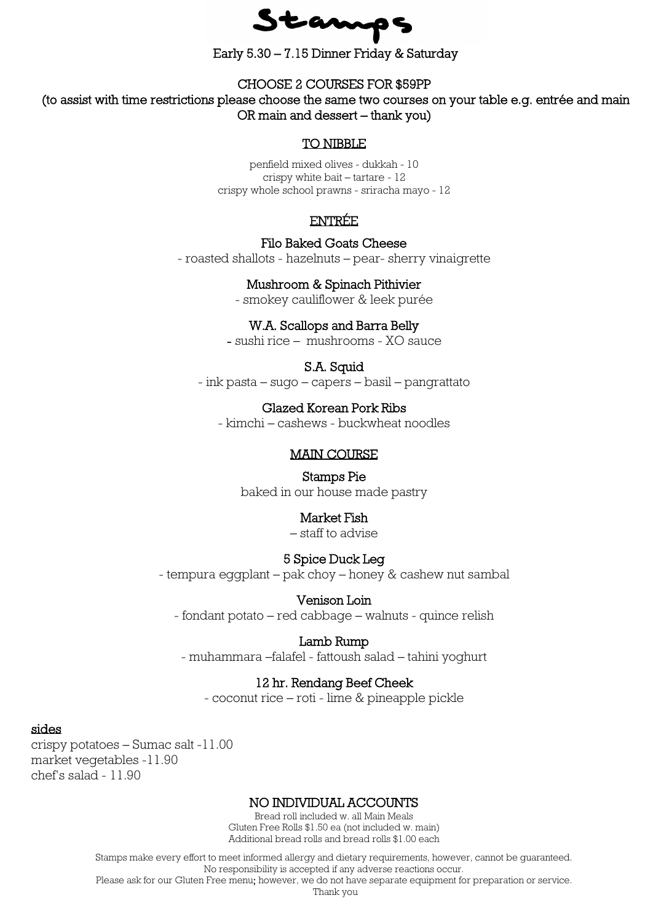Stamps

Early 5.30 – 7.15 Dinner Friday & Saturday

CHOOSE 2 COURSES FOR \$59PP

 (to assist with time restrictions please choose the same two courses on your table e.g. entrée and main OR main and dessert – thank you)

#### TO NIBBLE

penfield mixed olives - dukkah - 10 crispy white bait – tartare - 12 crispy whole school prawns - sriracha mayo - 12

# ENTRÉE

Filo Baked Goats Cheese - roasted shallots - hazelnuts – pear- sherry vinaigrette

Mushroom & Spinach Pithivier

- smokey cauliflower & leek purée

## W.A. Scallops and Barra Belly

- sushi rice – mushrooms - XO sauce

## S.A. Squid

- ink pasta – sugo – capers – basil – pangrattato

## Glazed Korean Pork Ribs

- kimchi – cashews - buckwheat noodles

## MAIN COURSE

#### Stamps Pie

baked in our house made pastry

#### Market Fish

– staff to advise

#### 5 Spice Duck Leg

- tempura eggplant – pak choy – honey & cashew nut sambal

#### Venison Loin

- fondant potato – red cabbage – walnuts - quince relish

## Lamb Rump

- muhammara –falafel - fattoush salad – tahini yoghurt

## 12 hr. Rendang Beef Cheek

- coconut rice – roti - lime & pineapple pickle

#### sides

crispy potatoes – Sumac salt -11.00 market vegetables -11.90 chef's salad - 11.90

#### NO INDIVIDUAL ACCOUNTS

Bread roll included w. all Main Meals Gluten Free Rolls \$1.50 ea (not included w. main) Additional bread rolls and bread rolls \$1.00 each

Stamps make every effort to meet informed allergy and dietary requirements, however, cannot be guaranteed. No responsibility is accepted if any adverse reactions occur.

Please ask for our Gluten Free menu; however, we do not have separate equipment for preparation or service. Thank you